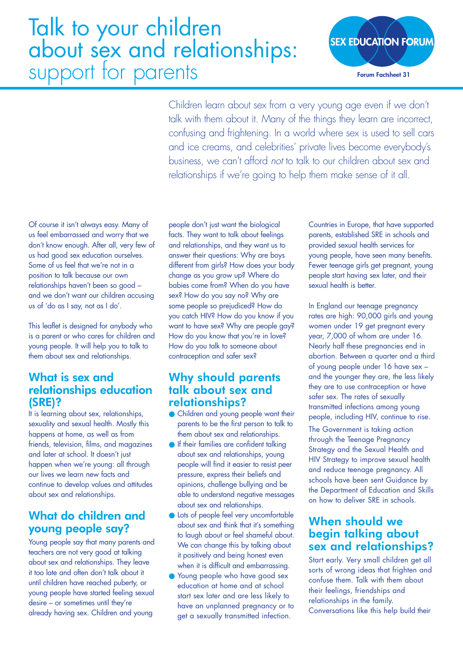# Talk to your children about sex and relationships: support for parents



Children learn about sex from a very young age even if we don't talk with them about it. Many of the things they learn are incorrect, confusing and frightening. In a world where sex is used to sell cars and ice creams, and celebrities' private lives become everybody's business, we can't afford *not* to talk to our children about sex and relationships if we're going to help them make sense of it all.

Of course it isn't always easy. Many of us feel embarrassed and worry that we don't know enough. After all, very few of us had good sex education ourselves. Some of us feel that we're not in a position to talk because our own relationships haven't been so good – and we don't want our children accusing us of 'do as I say, not as I do'.

This leaflet is designed for anybody who is a parent or who cares for children and young people. It will help you to talk to them about sex and relationships.

# What is sex and relationships education (SRE)?

It is learning about sex, relationships, sexuality and sexual health. Mostly this happens at home, as well as from friends, television, films, and magazines and later at school. It doesn't just happen when we're young: all through our lives we learn new facts and continue to develop values and attitudes about sex and relationships.

# What do children and young people say?

Young people say that many parents and teachers are not very good at talking about sex and relationships. They leave it too late and often don't talk about it until children have reached puberty, or young people have started feeling sexual desire – or sometimes until they're already having sex. Children and young

people don't just want the biological facts. They want to talk about feelings and relationships, and they want us to answer their questions: Why are boys different from girls? How does your body change as you grow up? Where do babies come from? When do you have sex? How do you say no? Why are some people so prejudiced? How do you catch HIV? How do you know if you want to have sex? Why are people gay? How do you know that you're in love? How do you talk to someone about contraception and safer sex?

# Why should parents talk about sex and relationships?

- Children and young people want their parents to be the first person to talk to them about sex and relationships.
- **•** If their families are confident talking about sex and relationships, young people will find it easier to resist peer pressure, express their beliefs and opinions, challenge bullying and be able to understand negative messages about sex and relationships.
- Lots of people feel very uncomfortable about sex and think that it's something to laugh about or feel shameful about. We can change this by talking about it positively and being honest even when it is difficult and embarrassing.
- Young people who have good sex education at home and at school start sex later and are less likely to have an unplanned pregnancy or to get a sexually transmitted infection.

Countries in Europe, that have supported parents, established SRE in schools and provided sexual health services for young people, have seen many benefits. Fewer teenage girls get pregnant, young people start having sex later, and their sexual health is better.

In England our teenage pregnancy rates are high: 90,000 girls and young women under 19 get pregnant every year, 7,000 of whom are under 16. Nearly half these pregnancies end in abortion. Between a quarter and a third of young people under 16 have sex – and the younger they are, the less likely they are to use contraception or have safer sex. The rates of sexually transmitted infections among young people, including HIV, continue to rise.

The Government is taking action through the Teenage Pregnancy Strategy and the Sexual Health and HIV Strategy to improve sexual health and reduce teenage pregnancy. All schools have been sent Guidance by the Department of Education and Skills on how to deliver SRE in schools.

# When should we begin talking about sex and relationships?

Start early. Very small children get all sorts of wrong ideas that frighten and confuse them. Talk with them about their feelings, friendships and relationships in the family. Conversations like this help build their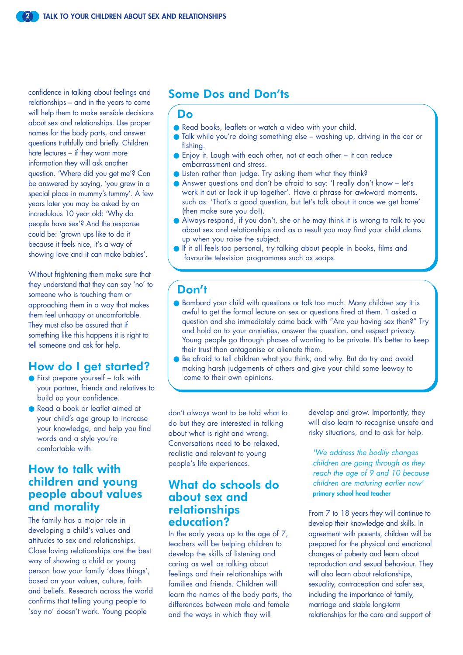confidence in talking about feelings and relationships – and in the years to come will help them to make sensible decisions about sex and relationships. Use proper names for the body parts, and answer questions truthfully and briefly. Children hate lectures – if they want more information they will ask another question. 'Where did you get me'? Can be answered by saying, 'you grew in a special place in mummy's tummy'. A few years later you may be asked by an incredulous 10 year old: 'Why do people have sex'? And the response could be: 'grown ups like to do it because it feels nice, it's a way of showing love and it can make babies'.

Without frightening them make sure that they understand that they can say 'no' to someone who is touching them or approaching them in a way that makes them feel unhappy or uncomfortable. They must also be assured that if something like this happens it is right to tell someone and ask for help.

#### How do I get started?

- First prepare yourself talk with your partner, friends and relatives to build up your confidence.
- Read a book or leaflet aimed at your child's age group to increase your knowledge, and help you find words and a style you're comfortable with.

## How to talk with children and young people about values and morality

The family has a major role in developing a child's values and attitudes to sex and relationships. Close loving relationships are the best way of showing a child or young person how your family 'does things', based on your values, culture, faith and beliefs. Research across the world confirms that telling young people to 'say no' doesn't work. Young people

## Some Dos and Don'ts

#### Do

- Read books, leaflets or watch a video with your child.
- Talk while you're doing something else washing up, driving in the car or fishing.
- Enjoy it. Laugh with each other, not at each other it can reduce embarrassment and stress.
- Listen rather than judge. Try asking them what they think?
- Answer questions and don't be afraid to say: 'I really don't know let's work it out or look it up together'. Have a phrase for awkward moments, such as: 'That's a good question, but let's talk about it once we get home' (then make sure you do!).
- Always respond, if you don't, she or he may think it is wrong to talk to you about sex and relationships and as a result you may find your child clams up when you raise the subject.
- If it all feels too personal, try talking about people in books, films and favourite television programmes such as soaps.

#### Don't

- Bombard your child with questions or talk too much. Many children say it is awful to get the formal lecture on sex or questions fired at them. 'I asked a question and she immediately came back with "Are you having sex then?" Try and hold on to your anxieties, answer the question, and respect privacy. Young people go through phases of wanting to be private. It's better to keep their trust than antagonise or alienate them.
- Be afraid to tell children what you think, and why. But do try and avoid making harsh judgements of others and give your child some leeway to come to their own opinions.

don't always want to be told what to do but they are interested in talking about what is right and wrong. Conversations need to be relaxed, realistic and relevant to young people's life experiences.

#### What do schools do about sex and relationships education?

In the early years up to the age of 7, teachers will be helping children to develop the skills of listening and caring as well as talking about feelings and their relationships with families and friends. Children will learn the names of the body parts, the differences between male and female and the ways in which they will

develop and grow. Importantly, they will also learn to recognise unsafe and risky situations, and to ask for help.

*'We address the bodily changes children are going through as they reach the age of 9 and 10 because children are maturing earlier now'*  **primary school head teacher**

From 7 to 18 years they will continue to develop their knowledge and skills. In agreement with parents, children will be prepared for the physical and emotional changes of puberty and learn about reproduction and sexual behaviour. They will also learn about relationships, sexuality, contraception and safer sex, including the importance of family, marriage and stable long-term relationships for the care and support of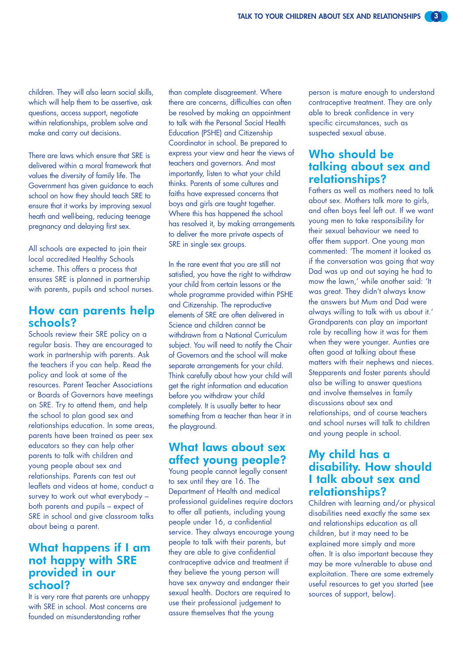children. They will also learn social skills, which will help them to be assertive, ask questions, access support, negotiate within relationships, problem solve and make and carry out decisions.

There are laws which ensure that SRE is delivered within a moral framework that values the diversity of family life. The Government has given guidance to each school on how they should teach SRE to ensure that it works by improving sexual heath and well-being, reducing teenage pregnancy and delaying first sex.

All schools are expected to join their local accredited Healthy Schools scheme. This offers a process that ensures SRE is planned in partnership with parents, pupils and school nurses.

# How can parents help schools?

Schools review their SRE policy on a regular basis. They are encouraged to work in partnership with parents. Ask the teachers if you can help. Read the policy and look at some of the resources. Parent Teacher Associations or Boards of Governors have meetings on SRE. Try to attend them, and help the school to plan good sex and relationships education. In some areas, parents have been trained as peer sex educators so they can help other parents to talk with children and young people about sex and relationships. Parents can test out leaflets and videos at home, conduct a survey to work out what everybody – both parents and pupils – expect of SRE in school and give classroom talks about being a parent.

#### What happens if I am not happy with SRE provided in our school?

It is very rare that parents are unhappy with SRE in school. Most concerns are founded on misunderstanding rather

than complete disagreement. Where there are concerns, difficulties can often be resolved by making an appointment to talk with the Personal Social Health Education (PSHE) and Citizenship Coordinator in school. Be prepared to express your view and hear the views of teachers and governors. And most importantly, listen to what your child thinks. Parents of some cultures and faiths have expressed concerns that boys and girls are taught together. Where this has happened the school has resolved it, by making arrangements to deliver the more private aspects of SRE in single sex groups.

In the rare event that you are still not satisfied, you have the right to withdraw your child from certain lessons or the whole programme provided within PSHE and Citizenship. The reproductive elements of SRE are often delivered in Science and children cannot be withdrawn from a National Curriculum subject. You will need to notify the Chair of Governors and the school will make separate arrangements for your child. Think carefully about how your child will get the right information and education before you withdraw your child completely. It is usually better to hear something from a teacher than hear it in the playground.

## What laws about sex affect young people?

Young people cannot legally consent to sex until they are 16. The Department of Health and medical professional guidelines require doctors to offer all patients, including young people under 16, a confidential service. They always encourage young people to talk with their parents, but they are able to give confidential contraceptive advice and treatment if they believe the young person will have sex anyway and endanger their sexual health. Doctors are required to use their professional judgement to assure themselves that the young

person is mature enough to understand contraceptive treatment. They are only able to break confidence in very specific circumstances, such as suspected sexual abuse.

## Who should be talking about sex and relationships?

Fathers as well as mothers need to talk about sex. Mothers talk more to girls, and often boys feel left out. If we want young men to take responsibility for their sexual behaviour we need to offer them support. One young man commented: 'The moment it looked as if the conversation was going that way Dad was up and out saying he had to mow the lawn,' while another said: 'It was great. They didn't always know the answers but Mum and Dad were always willing to talk with us about it.' Grandparents can play an important role by recalling how it was for them when they were younger. Aunties are often good at talking about these matters with their nephews and nieces. Stepparents and foster parents should also be willing to answer questions and involve themselves in family discussions about sex and relationships, and of course teachers and school nurses will talk to children and young people in school.

## My child has a disability. How should I talk about sex and relationships?

Children with learning and/or physical disabilities need exactly the same sex and relationships education as all children, but it may need to be explained more simply and more often. It is also important because they may be more vulnerable to abuse and exploitation. There are some extremely useful resources to get you started (see sources of support, below).